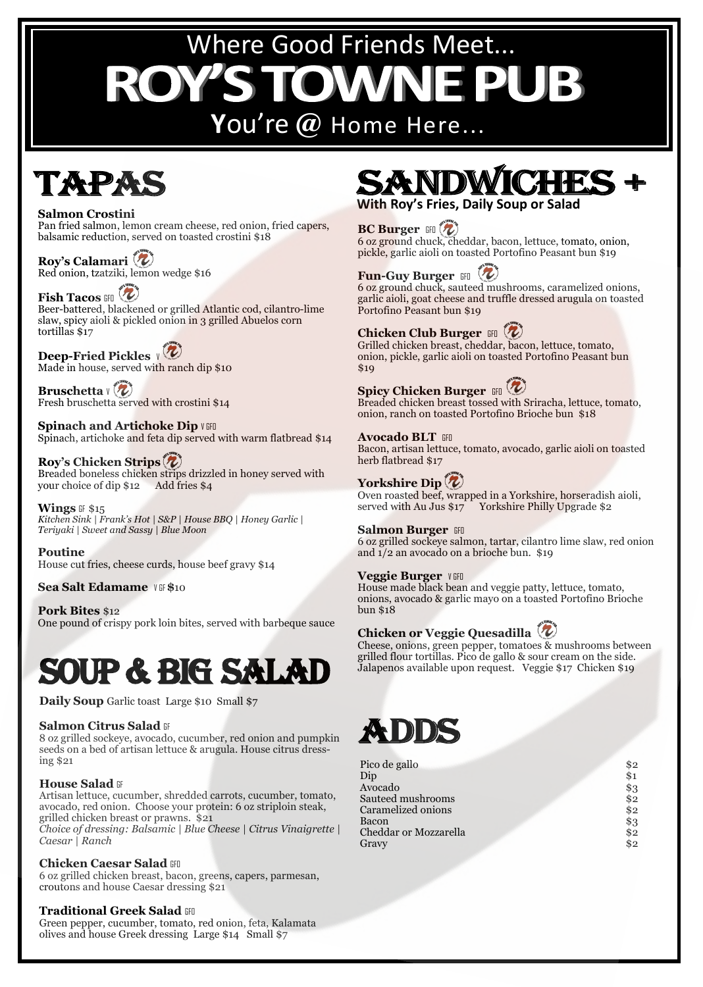# Where Good Friends Meet... ROY'S DWN

# ' **Y**ou're **@** Home Here...

# **TAPA**

#### **Salmon Crostini**

Pan fried salmon, lemon cream cheese, red onion, fried capers, balsamic reduction, served on toasted crostini \$18

**Roy's Calamari**  Red onion, tzatziki, lemon wedge \$16

# **Fish Tacos GFO**

Beer-battered, blackened or grilled Atlantic cod, cilantro-lime slaw, spicy aioli & pickled onion in 3 grilled Abuelos corn tortillas \$17

# **Deep-Fried Pickles**  $\sqrt{\mathbf{Z}}$

Made in house, served with ranch dip \$10

**Bruschetta**  $V(\mathbf{Z})$ Fresh bruschetta served with crostini \$14

**Spinach and Artichoke Dip V GFO** Spinach, artichoke and feta dip served with warm flatbread \$14

#### **Roy's Chicken Strips**

Breaded boneless chicken strips drizzled in honey served with your choice of dip \$12 Add fries \$4

**Wings** GF \$15 *Kitchen Sink | Frank's Hot | S&P | House BBQ | Honey Garlic | Teriyaki | Sweet and Sassy | Blue Moon*

**Poutine**  House cut fries, cheese curds, house beef gravy \$14

**Sea Salt Edamame**  $V$  GF \$10

**Pork Bites** \$12 One pound of crispy pork loin bites, served with barbeque sauce

# Soup & BIG SALAD

**Daily Soup** Garlic toast Large \$10 Small \$7

#### **Salmon Citrus Salad GF**

8 oz grilled sockeye, avocado, cucumber, red onion and pumpkin seeds on a bed of artisan lettuce & arugula. House citrus dressing \$21

#### **House Salad GF**

Artisan lettuce, cucumber, shredded carrots, cucumber, tomato, avocado, red onion. Choose your protein: 6 oz striploin steak, grilled chicken breast or prawns. \$21 *Choice of dressing: Balsamic | Blue Cheese | Citrus Vinaigrette | Caesar | Ranch*

#### **Chicken Caesar Salad GFO**

6 oz grilled chicken breast, bacon, greens, capers, parmesan, croutons and house Caesar dressing \$21

#### **Traditional Greek Salad GFO**

Green pepper, cucumber, tomato, red onion, feta, Kalamata olives and house Greek dressing Large \$14 Small \$7

**With Roy's Fries, Daily Soup or Salad**

### **BC Burger GFO**

6 oz ground chuck, cheddar, bacon, lettuce, tomato, onion, pickle, garlic aioli on toasted Portofino Peasant bun \$19

# **Fun-Guy Burger GFO**

6 oz ground chuck, sauteed mushrooms, caramelized onions, garlic aioli, goat cheese and truffle dressed arugula on toasted Portofino Peasant bun \$19

### **Chicken Club Burger** GFO  $(\nu)$

Grilled chicken breast, cheddar, bacon, lettuce, tomato, onion, pickle, garlic aioli on toasted Portofino Peasant bun \$19

# **Spicy Chicken Burger GFO**

Breaded chicken breast tossed with Sriracha, lettuce, tomato, onion, ranch on toasted Portofino Brioche bun \$18

#### **Avocado BLT GFO**

Bacon, artisan lettuce, tomato, avocado, garlic aioli on toasted herb flatbread \$17

# **Yorkshire Dip**

Oven roasted beef, wrapped in a Yorkshire, horseradish aioli, served with Au Jus  $17$  Yorkshire Philly Upgrade \$2

#### **Salmon Burger GFO**

6 oz grilled sockeye salmon, tartar, cilantro lime slaw, red onion and 1/2 an avocado on a brioche bun. \$19

#### **Veggie Burger** VGFO

House made black bean and veggie patty, lettuce, tomato, onions, avocado & garlic mayo on a toasted Portofino Brioche bun \$18

## **Chicken or Veggie Quesadilla**

Cheese, onions, green pepper, tomatoes & mushrooms between grilled flour tortillas. Pico de gallo & sour cream on the side. Jalapenos available upon request. Veggie \$17 Chicken \$19

# **XXIIIII**

| Pico de gallo         | \$2 |
|-----------------------|-----|
| Dip                   | \$1 |
| Avocado               | \$3 |
| Sauteed mushrooms     | \$2 |
| Caramelized onions    | \$2 |
| Bacon                 | \$3 |
| Cheddar or Mozzarella | \$2 |
| Gravy                 | \$2 |